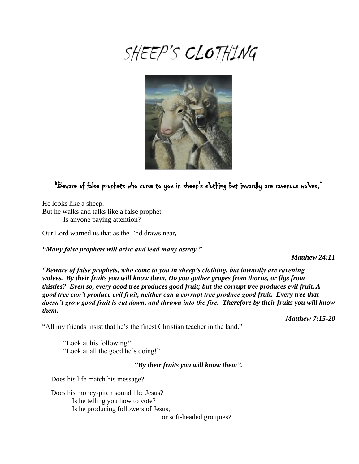# SHEEP'S CLOTHING



## "Beware of false prophets who come to you in sheep's clothing but inwardly are ravenous wolves."

He looks like a sheep. But he walks and talks like a false prophet. Is anyone paying attention?

Our Lord warned us that as the End draws near**,** 

*"Many false prophets will arise and lead many astray."*

*Matthew 24:11*

*"Beware of false prophets, who come to you in sheep's clothing, but inwardly are ravening wolves. By their fruits you will know them. Do you gather grapes from thorns, or figs from thistles? Even so, every good tree produces good fruit; but the corrupt tree produces evil fruit. A good tree can't produce evil fruit, neither can a corrupt tree produce good fruit. Every tree that doesn't grow good fruit is cut down, and thrown into the fire. Therefore by their fruits you will know them.*

*Matthew 7:15-20*

"All my friends insist that he's the finest Christian teacher in the land."

"Look at his following!" "Look at all the good he's doing!"

## "*By their fruits you will know them".*

Does his life match his message?

 Does his money-pitch sound like Jesus? Is he telling you how to vote? Is he producing followers of Jesus,

or soft-headed groupies?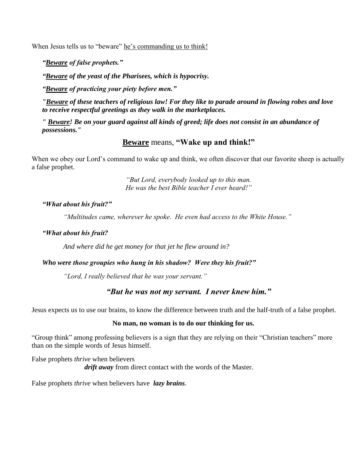When Jesus tells us to "beware" he's commanding us to think!

*"Beware of false prophets."*

*"Beware of the yeast of the Pharisees, which is hypocrisy.*

*"Beware of practicing your piety before men."*

*"Beware of these teachers of religious law! For they like to parade around in flowing robes and love to receive respectful greetings as they walk in the marketplaces.*

*" Beware! Be on your guard against all kinds of greed; life does not consist in an abundance of possessions."*

## **Beware** means, **"Wake up and think!"**

When we obey our Lord's command to wake up and think, we often discover that our favorite sheep is actually a false prophet.

> *"But Lord, everybody looked up to this man. He was the best Bible teacher I ever heard!"*

## *"What about his fruit?"*

*"Multitudes came, wherever he spoke. He even had access to the White House."*

#### *"What about his fruit?*

*And where did he get money for that jet he flew around in?* 

## *Who were those groupies who hung in his shadow? Were they his fruit?"*

*"Lord, I really believed that he was your servant."*

## *"But he was not my servant. I never knew him."*

Jesus expects us to use our brains, to know the difference between truth and the half-truth of a false prophet.

#### **No man, no woman is to do our thinking for us.**

"Group think" among professing believers is a sign that they are relying on their "Christian teachers" more than on the simple words of Jesus himself.

False prophets *thrive* when believers *drift away* from direct contact with the words of the Master.

False prophets *thrive* when believers have *lazy brains.*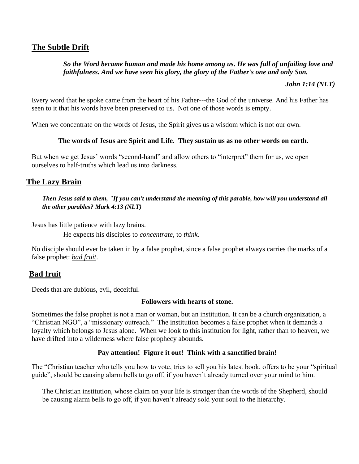## **The Subtle Drift**

## *So the Word became human and made his home among us. He was full of unfailing love and faithfulness. And we have seen his glory, the glory of the Father's one and only Son.*

*John 1:14 (NLT)*

Every word that he spoke came from the heart of his Father---the God of the universe. And his Father has seen to it that his words have been preserved to us. Not one of those words is empty.

When we concentrate on the words of Jesus, the Spirit gives us a wisdom which is not our own.

## **The words of Jesus are Spirit and Life. They sustain us as no other words on earth.**

But when we get Jesus' words "second-hand" and allow others to "interpret" them for us, we open ourselves to half-truths which lead us into darkness.

## **The Lazy Brain**

*Then Jesus said to them, "If you can't understand the meaning of this parable, how will you understand all the other parables? Mark 4:13 (NLT)*

Jesus has little patience with lazy brains.

He expects his disciples to *concentrate*, to *think.*

No disciple should ever be taken in by a false prophet, since a false prophet always carries the marks of a false prophet: *bad fruit*.

## **Bad fruit**

Deeds that are dubious, evil, deceitful.

#### **Followers with hearts of stone.**

Sometimes the false prophet is not a man or woman, but an institution. It can be a church organization, a "Christian NGO", a "missionary outreach." The institution becomes a false prophet when it demands a loyalty which belongs to Jesus alone. When we look to this institution for light, rather than to heaven, we have drifted into a wilderness where false prophecy abounds.

## **Pay attention! Figure it out! Think with a sanctified brain!**

The "Christian teacher who tells you how to vote, tries to sell you his latest book, offers to be your "spiritual guide", should be causing alarm bells to go off, if you haven't already turned over your mind to him.

The Christian institution, whose claim on your life is stronger than the words of the Shepherd, should be causing alarm bells to go off, if you haven't already sold your soul to the hierarchy.